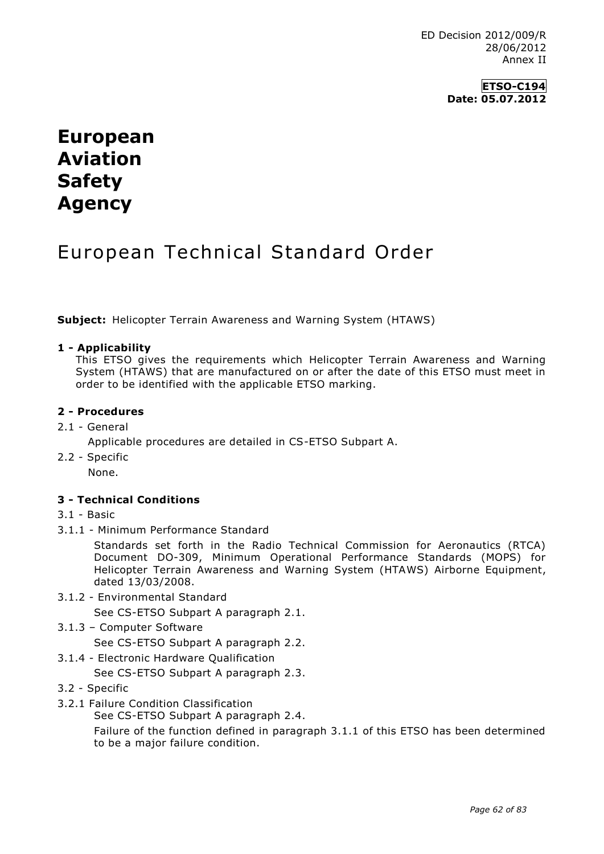ED Decision 2012/009/R 28/06/2012 Annex II

# **European Aviation Safety Agency**

## European Technical Standard Order

**Subject:** Helicopter Terrain Awareness and Warning System (HTAWS)

#### **1 - Applicability**

This ETSO gives the requirements which Helicopter Terrain Awareness and Warning System (HTAWS) that are manufactured on or after the date of this ETSO must meet in order to be identified with the applicable ETSO marking.

#### **2 - Procedures**

2.1 - General

Applicable procedures are detailed in CS-ETSO Subpart A.

2.2 - Specific

None.

### **3 - Technical Conditions**

#### 3.1 - Basic

3.1.1 - Minimum Performance Standard

Standards set forth in the Radio Technical Commission for Aeronautics (RTCA) Document DO-309, Minimum Operational Performance Standards (MOPS) for Helicopter Terrain Awareness and Warning System (HTAWS) Airborne Equipment, dated 13/03/2008.

3.1.2 - Environmental Standard

See CS-ETSO Subpart A paragraph 2.1.

3.1.3 – Computer Software

See CS-ETSO Subpart A paragraph 2.2.

- 3.1.4 Electronic Hardware Qualification
	- See CS-ETSO Subpart A paragraph 2.3.
- 3.2 Specific
- 3.2.1 Failure Condition Classification

See CS-ETSO Subpart A paragraph 2.4.

Failure of the function defined in paragraph 3.1.1 of this ETSO has been determined to be a major failure condition.